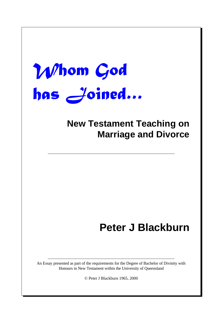# Whom God has Joined ...

### **New Testament Teaching on Marriage and Divorce**

–––––––––––––––––––––––––––––––––––––––––––––––––––––––––––––

## **Peter J Blackburn**

––––––––––––––––––––––––––––––––––––––––––––––––––––––––––––– An Essay presented as part of the requirements for the Degree of Bachelor of Divinity with Honours in New Testament within the University of Queensland

© Peter J Blackburn 1965, 2000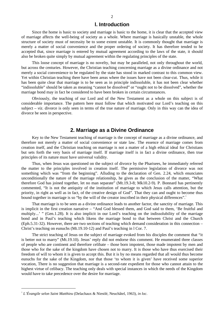#### **l. Introduction**

Since the home is basic to society and marriage is basic to the home, it is clear that the accepted view of marriage affects the well-being of society as a whole. Where marriage is basically unstable, the whole structure of society must of necessity be to some extent unstable. It is commonly thought that marriage is merely a matter of social convenience and the proper ordering of society. It has therefore tended to be accepted that, since marriage is entered by mutual agreement according to the laws of the state, it should also be broken quite simply by mutual agreement within the regulating principles of the state.

This loose concept of marriage is no novelty, but may be paralleled, not only throughout the world, but across the centuries. However, the Christian teaching concerning marriage as a divine ordinance and not merely a social convenience to be regulated by the state has stood in marked contrast to this common view. Yet within Christian teaching there have been areas where the issues have not been clear-cut. Thus, while it has been quite clear that marriage is to be seen as in principle indissoluble, it has not been clear whether "indissoluble" should be taken as meaning "cannot be dissolved" or "ought not to be dissolved", whether the marriage bond may in fact be considered to have been broken in certain circumstances.

Obviously, the teaching of our Lord and of the New Testament as a whole on this subject is of considerable importance. The pattern here must follow that which motivated our Lord's teaching on this subject – *viz*. divorce is only seen in terms of the true nature of marriage. Only in this way can the idea of divorce be seen in perspective.

#### **2. Marriage as a Divine Ordinance**

Key to the New Testament teaching of marriage is the concept of marriage as a divine ordinance, and therefore not merely a matter of social convenience or state law. The essence of marriage comes from creation itself, and the Christian teaching on marriage is not a matter of a high ethical ideal for Christians but sets forth the very basis of marriage itself. If marriage itself is in fact a divine ordinance, then true principles of its nature must have universal validity.

Thus, when Jesus was questioned on the subject of divorce by the Pharisees, he immediately referred the matter to the principles involved in creation itself. The permissive legislation of divorce was not something which was "from the beginning". Alluding to the declaration of Gen. 2.24, which enunciates unconditionally the nature of the marriage relationship, he gives as the conclusion of the matter, "What therefore God has joined together, let no man separate" (Mt.19.3-8; Mk10.2-9). P. Bonnard has pertinently commented, "It is not the antiquity of the institution of marriage to which Jesus calls attention, but the priority, in right as well as in fact, of the creative design of God". That they can and ought to become thus bound together in marriage is so "by the will of the creator inscribed in their physical differences".<sup>1</sup>

That marriage is to be seen as a divine ordinance leads to another factor, the sanctity of marriage. This is implicit in the first creation narrative – "And God blessed them, and God said to them, 'Be fruitful and multiply...' " (Gen.1.28). It is also implicit in our Lord's teaching on the indissolubility of the marriage bond and in Paul's teaching which likens the marriage bond to that between Christ and the Church (Eph.5.31-32). However, there are two sections of teaching which demand consideration in this connection – Christ's teaching on eunuchs (Mt.19.10-12) and Paul's teaching in l Cor. 7.

The strict teaching of Jesus on the subject of marriage evoked from his disciples the comment that "it is better not to marry" (Mt.19.10). Jesus' reply did not endorse this comment. He enumerated three classes of people who are continent and therefore celibate – those born impotent, those made impotent by men and those who for the sake of the kingdom have chosen not to marry. It is those who have thus exercised their freedom of will to whom it is given to accept this. But it is by no means regarded that all would thus become eunuchs for the sake of the Kingdom, nor that those 'to whom it is given' have received some superior vocation, There is no suggestion that marriage is a second-rate expedient for those who cannot attain to the highest virtue of celibacy. The teaching only deals with special instances in which the needs of the Kingdom would have to take precedence over the desire for marriage.

<sup>1</sup> *L'Évangile selon Saint Matthieu* (Delachaux & Niestlé, Neuchâtel, 1963), *in loc*.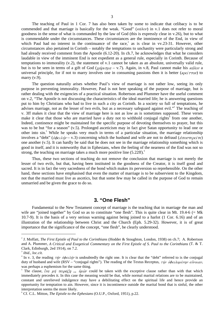The teaching of Paul in 1 Cor. 7 has also been taken by some to indicate that celibacy is to be commended and that marriage is basically for the weak. "Good" ( $\kappa \alpha \lambda o \nu$ ) in v.1 does not refer to moral goodness in the sense of what is commanded by the law of God (this is expressly clear in v.26), but to what is commendable under the circumstances. These circumstances are the imminence of the End, in view of which Paul had no interest in the continuance of the race,<sup>2</sup> as is clear in vv.23-31. However, other circumstances also pertained in Corinth – notably the temptations to unchastity were particularly strong and had already received comment from the Apostle (6.12-20). In ch.7, he acknowledges that what he considers laudable in view of the imminent End is not expedient as a general rule, especially in Corinth. Because of temptations to immorality (v.2), the statement of v.1 cannot be taken as an absolute, universally valid rule, but is to be seen in terms of a gift of God ( $\chi d\rho_l \sigma_l \rho a - v$ .7). Again, in v.8, Paul cannot make his  $\kappa d\lambda \sigma \nu$  a universal principle, for if not to marry involves one in consuming passions then it is better ( $\kappa \rho \epsilon \hat{i} \tau \tau o \nu$ ) to marry (v.9).

The question naturally arises whether Paul's view of marriage is not rather low, seeing its only purpose in preventing immorality. However, Paul is not here speaking of the purpose of marriage, but is rather dealing with the exigencies of a practical situation. Robertson and Plummer have the useful comment on v.2, "The Apostle is not discussing the characteristics of the ideal married life; he is answering questions put to him by Christians who had to live in such a city as Corinth. In a society so full of temptations, he advises marriage, not as the lesser of two evils, but as a necessary safeguard against evil."<sup>3</sup> The teaching of v. 3ff makes it clear that the view of marriage here is not as low as is sometimes supposed. These verses make it clear that those who are married have a duty not to withhold conjugal rights<sup>4</sup> from one another, Indeed, continence might be maintained for the specific purpose of devoting themselves to prayer, but this was to be but "for a season" (v.5). Prolonged asceticism may in fact give Satan opportunity to lead one or other into sin.<sup>5</sup> While he speaks very much in terms of a particular situation, the marriage relationship involves a "debt" ( $\phi \phi \epsilon \lambda \eta \nu - v.3$ ) concerning which the husband and wife are not to defraud ( $\phi \pi \phi \gamma \epsilon \rho \epsilon \hat{i} \tau \epsilon$ ) one another (v.5). It can hardly be said that he does not see in the marriage relationship something which is good in itself, and it is noteworthy that in Ephesians, when the feeling of the nearness of the End was not so strong, the teaching on marriage takes a much more positive line  $(5.22\text{ff})$ .<sup>6</sup>

Thus, these two sections of teaching do not remove the conclusion that marriage is not merely the lesser of two evils, but that, having been instituted in the goodness of the Creator, it is itself good and sacred. It is in fact the very sacredness of the bond which makes its perversion so reprehensible. On the other hand, these sections have emphasised that even the matter of marriage is to be subservient to the Kingdom, not that the married must live as ascetics, but that some few may be called in the purpose of God to remain unmarried and be given the grace to do so.

#### **3. "One Flesh"**

Fundamental to the New Testament concept of marriage is the teaching that in marriage the man and wife are "joined together" by God so as to constitute "one flesh". This is quite clear in Mt. 19.4-6 (= Mk 10.7-9). It is the basis of a very serious warning against being joined to a harlot (1 Cor. 6.16) and of an illustration of the relationship between Christ and the Church (Eph. 5.29-32). However, it is of great importance that the significance of the concept, "one flesh", be clearly understood.

<sup>2</sup> J. Moffatt, *The First Epistle of Paul to the Corinthians* (Hodder & Stoughton, London, 1938) on ch.7; A. Robertson and A. Plummer, *A Critical and Exegetical Commentary on the First Epistle of S. Paul to the Corinthians* (T. & T. Clark, Edinburgh, 2ed 1914), on 7.2.

<sup>3</sup> *ibid.*, *loc.cit.*

<sup>&</sup>lt;sup>4</sup> In v. 3, the reading  $\tau \eta \nu$  *obelarch* is undoubtedly the right one. It is clear that the "debt" referred to is the conjugal duty of husband and wife (RSV – "conjugal rights"). The reading of the Textus Receptus,  $\tau \eta \nu \dot{\phi} \phi \epsilon_l \lambda \partial \mu \dot{\epsilon} \nu \eta \nu \epsilon \dot{\nu} \nu \partial \alpha \nu$ , was perhaps a euphemism for the same thing.

<sup>5</sup> The clause,  $\hat{\mu}a \mu \hat{\eta} \pi \epsilon \rho \hat{\alpha} \zeta \hat{\eta}$  ...  $\hat{\mu} \hat{\omega} \nu$  could be taken with the exceptive clause rather than with that which immediately precedes it. In this case the meaning would be that, while normal marital relations are to be maintained, constant and unrelieved indulgence may have a debilitating effect on the spiritual life and hence provide an opportunity for temptation to ain. However, since it is incontinence outside the marital bond that is sinful, the other interpretation seems the more likely.

<sup>6</sup> Cf. C.L. Mitton, *The Epistle to the Ephesians* (O.U.P., Oxford, 1951), p.22.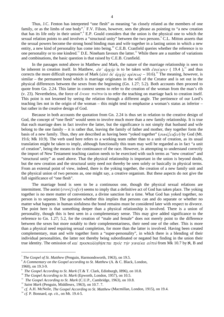Thus, J.C. Fenton has interpreted "one flesh" as meaning "as closely related as the members of one family, or as the limbs of one body".<sup>7</sup> F.V. Filson, however, sees the phrase as pointing to "a new creation that has its life only in their union". 8 E.P. Gould considers that the union is the physical one to which the sexual relation points to and involves a "structural unity" between the two persons. C.L. Mitton asserts that the sexual powers become the strong bond binding man and wife together in a lasting union in which a new entity, a new kind of personality has come into being.<sup>10</sup> C.E.B. Cranfield queries whether the reference is to one personality or to one kindred.<sup>11</sup> D.E. Nineham favours the latter.<sup>12</sup> While there are a number of variations and combinations, the basic question is that raised by C.E.B. Cranfield.

In the passages noted above in Matthew and Mark, the nature of the marriage relationship is seen to be inherent in creation itself. In Matthew,  $d\pi' d\rho\chi\hat{\eta}s$  is to be taken with  $\epsilon\pi o(\eta\sigma\epsilon\nu$  (19.4),<sup>13</sup> and thus corrects the more difficult expression of Mark ( $d\pi$  of  $d\theta \chi \hat{\eta}$  s  $\kappa \rho / \sigma \epsilon \omega$  s – 10.6).<sup>14</sup> The meaning, however, is similar – the permanent bond which is marriage originates in the will of the Creator and is set out in the physical differences between the sexes from the beginning (Gn. 1.27; 5.2). Both accounts then proceed to quote from Gn. 2.24. This latter in context seems to refer to the creation of the woman from the man's rib (v. 23). Nevertheless, the force of  $\ell \nu \epsilon \kappa a$  *τούτου* is to refer the teaching on marriage back to creation itself. This point is not lessened by seeing the relation through a different angle. The pertinence of our Lord's teaching lies not in the origin of the woman – this might tend to emphasise a woman's status as inferior – but rather in the creative design of God.

Because in both accounts the quotation from Gn. 2.24 is thus set in relation to the creative design of God, the concept of "one flesh" would seem to involve much more than a new family relationship. It is true that each marriage does in fact involve the latter, but the significance is not simply that husband and wife belong to the one family – it is rather that, leaving the family of father and mother, they together form the basis of a new family. Thus, they are described as having been "voked together" ( $\sigma \nu \nu \epsilon \ell \epsilon \nu \epsilon \nu$ ) by God (Mt. 19.6; Mk 10.9). The verb used here refers to a working team rather than to a unit of creation, as its usual translation might be taken to imply, although functionally this team may well be regarded as in fact "a unit of creation", being the means to the continuance of the race. However, in attempting to understand correctly the import of New Testament teaching caution needs to be exercised with such terms as "new creation" and "structural unity" as used above. That the physical relationship is important in the union is beyond doubt, but the new creation and the structural unity need not thereby be seen solely or basically in physical terms. From an external point of view, indeed, there is the yoking together, the creation of a new family unit and the physical union of two persons as, one might say, a creative organism. But these aspects do not give the full significance of "one flesh".

The marriage bond is seen to be a continuous one, though the physical sexual relations are intermittent. The aorist ( $\sigma \nu \nu \epsilon \zeta \epsilon \nu \xi \epsilon \nu$ ) seems to imply that a definitive act of God has taken place. The yoking together is no mere matter of convenience, a divine sanction for a time. What God has yoked together, no person is to separate. The question whether this implies that persons can and do separate or whether no matter what happens in human sinfulness the bond remains must be considered later with respect to divorce. The point here is that something deeper than a physical relationship is involved. There is a union of personality, though this is best seen in a complementary sense. This may give added significance to the reference to Gn. 1.27; 5.2, for the creation of "male and female" does not merely point to the difference between the sexes but more notably to their complementariness, their need one of the other. This is more than a physical need requiring sexual completion, for more than the latter is involved. Having been created complementary, man and wife together form a "super-personality", in which there is a blending of their individual personalities, the latter not thereby being subordinated or negated but finding in the union their true identity. The omission of  $\kappa a \ell \pi \rho \circ \sigma \kappa \circ \lambda \eta \theta \eta \circ \sigma \tau \alpha \pi \pi \circ \sigma \circ \tau \eta \nu \gamma \nu \alpha \ell \kappa \alpha \alpha \nu \tau \circ \nu \delta$  from Mk 10.7 by S, B and

<sup>7</sup> *The Gospel of St. Matthew* (Penguin, Harmondsworth, 1963), on 19.5.

<sup>&</sup>lt;sup>8</sup> A Commentary on the Gospel according to St. Matthew (A. & C. Black, London, 1960), on 19.3-9.

<sup>9</sup> *The Gospel According to St. Mark* (T.& T. Clark, Edinburgh, I896), on 10.8.

<sup>&</sup>lt;sup>10</sup> *The Gospel According to St. Mark* (Epworth, London, 1957), on 10.5.

<sup>&</sup>lt;sup>11</sup> The Gospel According to St. Mark (C.U.P., Cambridge, 1963), on 10.8.

<sup>&</sup>lt;sup>12</sup> Saint Mark (Penguin, Middlesex, 1963), on 10.7.7.

<sup>&</sup>lt;sup>13</sup> cf. A.H. McNeile, *The Gospel According to St. Matthew* (Macmillan, London, 1915), on 19.4.

<sup>14</sup> *cf.* P. Bonnard, *op. cit*., on Mt. 19.4-5.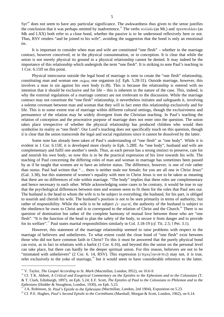Syr<sup>sin</sup> does not seem to have any particular significance. The awkwardness thus given to the sense justifies the conclusion that it was perhaps omitted by inadvertence.<sup>15</sup> The verbs  $\kappa \circ \lambda \lambda \check{a} \omega$  (as Mt.) and  $\pi \rho \circ \sigma \kappa \circ \lambda \lambda \check{a} \omega$  (as Mk and LXX) both refer to a close bond, whether the passive is to be understood reflexively here or not. Thus, RSV renders "and be joined to his wife", avoiding the suggestion that the bond is only an emotional tie.

It is important to consider when man and wife are constituted "one flesh" – whether in the marriage contract, however conceived, or in the physical consummation, or in conception. It is clear that while the union is not merely physical its ground in a physical relationship cannot be denied. It may indeed be the importance of this relationship which undergirds the term "one flesh". It is striking to note Paul's teaching in 1 Cor. 6.15ff on this point.

Physical intercourse outside the legal bond of marriage is seen to create the "one flesh" relationship, constituting man and woman one  $\sigma \omega \mu \alpha$ , one organism (*cf.* Eph. 5.28-31). Outside marriage, however, this involves a man in sin against his own body (v.l8). This is because the relationship is entered with no intention that it should be exclusive and for life – this is inherent in the nature of the case. This, indeed, is why the external regulations of a marriage contract are not irrelevant to the discussion. While the marriage contract may not constitute the "one flesh" relationship, it nevertheless initiates and safeguards it, involving a solemn covenant between man and woman that they will in fact enter this relationship exclusively and for life. This is to some extent true of marriage within different cultural settings, though the exclusiveness and permanence of the relation may be widely divergent from the Christian teaching. In Paul's teaching the relation of conception and the procreative purpose of marriage does not enter into the question. The union takes place irrespective of whether the physical relationship has produced children who would then symbolise its reality as "one flesh". Our Lord's teaching does not specifically touch on this question, though it is clear that the union transcends the legal and social regulations since it cannot be dissolved by the latter.

Some note has already been taken of Paul's understanding of "one flesh" as "one body". While it is evident in 1 Cor. 6.15ff, it is developed more clearly in Eph. 5.28ff. As "one body", husband and wife are complementary and fulfil one another's needs. Thus, as each person has a strong instinct to preserve, care for and nourish his own body, so now this is to be the practical expression of his love towards his wife. The teaching of Paul concerning the differing roles of man and woman in marriage has sometimes been passed by as if he taught that women are to have an inferior status. The difference, however, is one of *role* rather than *status*. Paul had written that "… there is neither male nor female; for you are all one in Christ Jesus" (Gal. 3.38), but this statement of women's equality with men in Christ Jesus is not to be taken as meaning that there are no differences of role within marriage. "The body" implies that these roles are complementary and hence necessary to each other. While acknowledging some cases to be contrary, it would be true to say that the psychological differences between men and women seem to fit them for the roles that Paul sets out. The husband is the head to whom the wife is to be subject in everything; the husband, for his part, is obliged to nourish and cherish his wife. The husband's position is not to be seen primarily in terms of authority, but rather of responsibility. While the wife is to be subject  $\epsilon \nu \pi a \nu \tau i$ , the authority of the husband is subject to the obedience he owes to Christ and is to correspond to the relation of Christ and the Church.<sup>16</sup> There is no question of domination but rather of the complete harmony of mutual love between those who are "one flesh". "It is the function of the head to plan the safety of the body, to secure it from danger and to provide for its welfare". <sup>17</sup> Paul states marital responsibilities similarly in Col. 3.18-19 (*cf.* Tit. 2.5; l Pet. 3.1).

However, this statement of the marriage relationship seemed to raise problems with respect to the marriage of believers and unbelievers. To what extent could the close bond of "one flesh" exist between those who did not have common faith in Christ? To this it must be answered that the purely physical bond can exist, as in fact in relations with a harlot (1 Cor. 6.16), and beyond this the union on the personal level can take place, but there can hardly be the deeper spiritual union. For this reason, believers are not to be "mismated with unbelievers" (2 Cor. 6. 14, RSV). This expression ( $\epsilon \tau \epsilon \rho o \epsilon' \nu \rho \partial \nu \tau \epsilon$ s) may not, it is true, refer exclusively to the yoke of marriage,<sup>18</sup> but it would seem to have considerable reference to the latter.

<sup>15</sup> V. Taylor, *The Gospel According to St. Mark* (Macmillan, London, I952), on 10.6-9.

<sup>&</sup>lt;sup>16</sup> Cf. T.K. Abbott, *A Critical and Exegetical Commentary on the Epistles to the Ephesians and to the Colossians* (T. & T. Clark, Edinburgh, 1897), on Eph. 5.24; E.F. Scott, *The Epistles of Paul to the Colossians to Philemon and to the Ephesians* (Hodder & Stoughton, London, 1930), on Eph. 5.23.

<sup>17</sup> J.A. Robinson, *St. Paul's Epistle to the Ephesians* (Macmillan, London, 2ed 1904), Exposition on 5.23.

<sup>&</sup>lt;sup>18</sup> Cf. P.E. Hughes, *Paul's Second Epistle to the Corinthians* (Marshall, Morgan & Scott, London, 1962), on 6.14.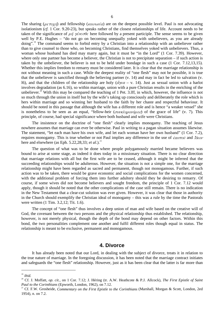The sharing ( $\mu \epsilon \tau o \gamma \eta$ ) and fellowship ( $\kappa o \nu \omega \nu \alpha$ ) are on the deepest possible level. Paul is not advocating isolationism (*cf.* 1 Cor. 9.20-23), but speaks rather of the closest relationships of life. Account needs to be taken of the significance of  $\mu \dot{\eta}$   $\gamma \dot{\ell} \nu \epsilon \partial \ell \epsilon$  here followed by a present participle. The sense seems to be given well by P.E. Hughes – "do not go on becoming unequally yoked with unbelievers, as you are already doing".<sup>19</sup> The command seems to forbid entry by a Christian into a relationship with an unbeliever rather than to give counsel to those who, on becoming Christians, find themselves yoked with unbelievers. Thus, a woman whose husband has died may marry again, but it must be "in the Lord" (1 Cor. 7.39). However, where only one partner has become a believer, the Christian is not to precipitate separation – if such action is taken by the unbeliever, the believer is not to be held under bondage in such a case (1 Cor. 7.12,13,15). Whether this implies freedom to remarry must be considered later. It is clear that the marriage relationship is not without meaning in such a case. While the deepest reality of "one flesh" may not be possible, it is true that the unbeliever is sanctified through the believing partner (v. 14) and may in fact be led to salvation (v. l6), and that the children of the relationship are holy ( $d\gamma a - v$ . 14). Just as sexual union with a harlot involves degradation (as 6.16), so within marriage, union with a pure Christian results in the enriching of the unbeliever.<sup>20</sup> With this may be compared the teaching of 1 Pet. 3.1ff, in which, however, the influence is not so much through the union in itself but by the wife's taking up consciously and deliberately the role which is hers within marriage and so winning her husband to the faith by her chaste and respectful behaviour. It should be noted in this passage that although the wife has a different role and is hence "a weaker vessel" she is nonetheless to be seen as an equal, "fellow-heir ( $\sigma \nu \nu \kappa \lambda \eta \rho \sigma \nu \phi \mu \sigma$ ) of the grace of life" (v. 7). This principle, of course, had special significance where both husband and wife were Christians.

The insistence on the doctrine of "one flesh" clearly implies monogamy. The teaching of Jesus nowhere assumes that marriage can ever be otherwise. Paul in writing to a pagan situation assumes likewise. The statement, "let each man have his own wife, and let each woman have her own husband" (1 Cor. 7.2), requires monogamy. This is true whether or not Paul implies any difference in the use of  $\epsilon a \nu \tau o \hat{v}$  and  $\delta \delta o \nu$ here and elsewhere (as Eph.  $5.22,28,33$ ; *et al.*).<sup>21</sup>

The question of what was to be done where people polygamously married became believers was bound to arise at some stage, as indeed it does today in a missionary situation. There is no clear direction that marriage relations with all but the first wife are to be ceased, although it might be inferred that the succeeding relationships would be adulterous. However, the situation is not a simple one, for the marriage relationship might have been regarded as sacred and permanent, though not monogamous. Further, if such action was to be taken, there would be grave economic and social complications for the women concerned, with the additional problem of forcing them into further adultery should they be desiring to remarry. Of course, if some wives did not become believers and sought freedom, the principle of 1 Cor. 7.12 would apply, though it should be noted that the other complications of the case still remain. There is no indication in the New Testament that a clear-cut solution was ever given. However, it was clear that those in authority in the Church should exemplify the Christian ideal of monogamy – this was a rule by the time the Pastorals were written (1 Tim. 3.2,12; Tit. 1.6).

The concept of "one flesh" thus involves a deep union of man and wife based on the creative will of God, the covenant between the two persons and the physical relationship thus established. The relationship, however, is not merely physical, though the depth of the bond may depend on other factors. Within this bond, the two personalities complement one another and fulfil different roles though equal in status. The relationship is meant to be exclusive, permanent and monogamous.

#### **4. Divorce**

It has already been noted that our Lord, in dealing with the subject of divorce, treats it in relation to the true nature of marriage. In the foregoing discussion, it has been noted that the marriage contract initiates and safeguards the "one flesh" relationship. However, just as it has been clear that the latter is far more than

<sup>19</sup> *ibid.*

<sup>20</sup> Cf. J. Moffatt, *op. cit.*, on 1 Cor. 7.12; J. Héring (tr. A.W. Heathcote & P.J. Allcock), *The First Epistle of Saint Paul to the Corinthians* (Epworth, London, 1962), on 7.12.

<sup>&</sup>lt;sup>21</sup> Cf. F.W. Grosheide, *Commentary on the First Epistle to the Corinthians* (Marshall, Morgan & Scott, London, 2ed 1954), n. on 7.2.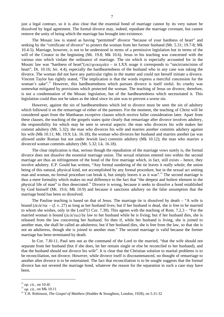just a legal contract, so it is also clear that the essential bond of marriage cannot by its very nature be dissolved by legal agreement. The formal divorce may, indeed, repudiate the marriage covenant, but cannot remove the unity of being which the marriage has brought into existence.

The Mosaic law is stated as having "permitted" divorce "because of your hardness of heart" and seeking by the "certificate of divorce" to protect the woman from her former husband (Mt. 5.31; 19.7-8; Mk 10.4-5). Marriage, however, is not to be understood in terms of a permissive legislation but in terms of the will of the Creator in the beginning (Mt. 19.8; Mk 10.6). Jesus in his teaching was concerned with the various sins which violate the ordinance of marriage. The sin which is especially accounted for in the Mosaic law was "hardness of heart"( $\sigma \kappa \lambda n \omega \delta \alpha$ ) – in LXX usage it corresponds to "uncircumcision of heart", Dt. 10.16; Jer. 4.4), especially the hardheartedness of the husband who in any case was taking the divorce. The woman did not have any particular rights in the matter and could not herself initiate a divorce. Vincent Taylor has rightly stated, "The implication is that the words express a merciful concession for the woman's sake".<sup>22</sup> However, this hardheartedness which pursues divorce is itself sinful. Its cruelty was somewhat mitigated by provisions which protected the woman. The teaching of Jesus on divorce, therefore, is not a condemnation of the Mosaic legislation, but of the hardheartedness which necessitated it. This legislation could thus not be taken as the ideal since its aim was to prevent a worse sin.

However, against the sin of hardheartedness which led to divorce must be seen the sin of adultery which followed it on the remarriage of either of the partners. For the moment, the teaching of Christ will be considered apart from the Matthaean exceptive clauses which receive fuller consideration later. Apart from these clauses, the teaching of the gospels states quite clearly that remarriage after divorce involves adultery, the responsibility for which may be seen in several aspects: the man who divorces his wife makes her commit adultery (Mt. 5.32); the man who divorces his wife and marries another commits adultery against his wife (Mk 10.11; Mt. 19.9; Lk. 16.18); the woman who divorces her husband and marries another (as was allowed under Roman but not under Jewish law) commits adultery (Mk 10.12); the man who marries a divorced woman commits adultery (Mt. 5.32; Lk. 16.18).

The clear implication is that, serious though the repudiation of the marriage vows surely is, the formal divorce does not dissolve the essential marriage union. The sexual relations entered into within the second marriage are thus an infringement of the bond of the first marriage which, in fact, still exists – hence, they involve adultery. E.P. Gould has written, "Any formal sundering of the tie leaves it really whole; the union being of this natural, physical kind, not accomplished by any formal procedure, but in the sexual act uniting man and woman, no formal procedure can break it, but simply leaves it as it was".<sup>23</sup> The second marriage is thus a mere formality which makes no real difference to the fact that "the deepest and holiest element in the physical life of man" is thus desecrated.<sup>24</sup> Divorce is wrong, because it seeks to dissolve a bond established by God himself (Mt. 19.6; Mk 10.9) and because it sanctions adultery on the false assumption that the marriage bond has been so dissolved.

The Pauline teaching is based on that of Jesus. The marriage tie is dissolved by death – "A wife is bound ( $\delta \epsilon \delta \epsilon \tau a_l - c_f$ . v. 27) as long as her husband lives; but if her husband is dead, she is free to be married to whom she wishes, only in the Lord"(1 Cor. 7.39). This agrees with the teaching of Rom. 7.2,3 – "For the married woman is bound ( $\delta \epsilon \delta \epsilon \tau \alpha$ ) by law to her husband while he is living; but if her husband dies, she is released from the law concerning her husband. So then if, while her husband is living, she is joined to another man, she shall be called an adulteress; but if her husband dies, she is free from the law, so that she is not an adulteress, though she is joined to another man." The second marriage is valid because the former marriage has been terminated by death.

In Cor. 7.I0-11, Paul sets out as the command of the Lord to the married, "that the wife should not separate from her husband (but if she does, let her remain single or else be reconciled to her husband), and that the husband should not divorce his wife". It is clear that the Christian solution to marital problems is to be reconciliation, not divorce. However, while divorce itself is discountenanced, no thought of remarriage to another after divorce is to be entertained. The fact that reconciliation is to be sought suggests that the formal divorce has not severed the marriage bond, whatever the reason for the separation in such a case may have been.

<sup>22</sup> *op. cit.*, on 10.4f.

 $^{23}$  *op. cit.*, on Mk 10.11

<sup>&</sup>lt;sup>24</sup> T.H. Robinson, *The Gospel of Matthew* (Hodder & Stoughton, London, 1928), on 5.31-32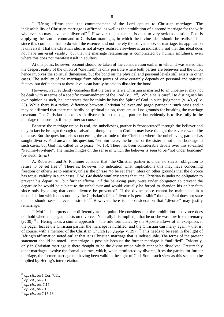J. Héring affirms that "the commandment of the Lord applies to Christian marriages. The indissolubility of Christian marriage is affirmed, as well as the prohibition of a second marriage for the wife who even so may have been divorced".<sup>25</sup> However, this statement is open to very serious question. Paul is **applying** the Lord's command to Christian marriages, in which the divine ideal should be realised, but, since this command has to do with the essence, and not merely the convenience, of marriage, its application is universal. That the Christian ideal is not always realised elsewhere is an indication, not that this ideal does not have universal validity, but that the marriage relationship is complicated by human sinfulness, even where this does not manifest itself in adultery.

At this point, however, account should be taken of the consideration earlier in which it was stated that the deepest reality of the union of "one flesh" is only possible where both parties are believers and the union hence involves the spiritual dimension, but the bond on the physical and personal levels still exists in other cases. The stability of the marriage from other points of view certainly depends on personal and spiritual factors, but deficiencies at these levels can hardly be said to **dissolve** the bond.

However, Paul evidently considers that the case where a Christian is married to an unbeliever may not be dealt with in terms of a specific commandment of the Lord (v. 12ff). While he is careful to distinguish his own opinion as such, he later states that he thinks he has the Spirit of God in such judgments (v. 40, *cf.* v. 25). While there is a radical difference between Christian believer and pagan partner in such cases and it may be affirmed that there can hardly be spiritual union, there are still no grounds for breaking the marriage covenant. The Christian is not to seek divorce from the pagan partner, but evidently is to live fully in the marriage relationship, if the partner so consents.

Because the marriage union is real, the unbelieving partner is "consecrated" through the believer and may in fact be brought through to salvation, though some in Corinth may have thought the reverse would be the case. But the question arises concerning the attitude of the Christian where the unbelieving partner has sought divorce. Paul answers this question, "let him leave; the brother or the sister is not under bondage in such cases, but God has called us to peace" (v. 15). There has been considerable debate over this so-called "Pauline-Privilege". The matter hinges on the sense in which the believer is seen to be "not under bondage" ( $o\dot{v}$  δεδούλεται).

A. Robertson and A. Plummer consider that "the Christian partner is under no slavish obligation to refuse to be set free".<sup>26</sup> There is, however, no indication what implications this may have concerning freedom or otherwise to remarry, unless the phrase "to be set free" infers on other grounds that the divorce has actual validity in such cases. F.W. Grosheide similarly states that "the Christian is under no obligation to prevent his departure", but further affirms, "If the believing party were under obligation to prevent the departure he would be subject to the unbeliever and would virtually be forced to abandon his or her faith since only by doing that could divorce be prevented". If the divine peace cannot be maintained in a reconciliation which does not deny the Christian's faith, "divorce is permissible" though "Paul does not state that he should seek or even desire it".<sup>27</sup> However, there is no consideration that "divorce" may justify remarriage.

J. Moffatt interprets quite differently at this point. He considers that the prohibition of divorce does not hold where the pagan insists on divorce. "Naturally it is implied,.. that he or she was now free to remarry (v. 39).<sup>28</sup> J. Héring takes a similar approach – "the rule formulated by the Apostle allows of an exception: if the pagan leaves the Christian partner the marriage is nullified, and the Christian can marry again – that is, of course, with a member of the Christian Church ( $\acute{e}\nu$  Kυρίω, v. 39)".<sup>29</sup> This needs to be seen in the light of Héring's affirmation noted earlier that it is Christian marriage that is indissoluble. The terms of the present statement should be noted – remarriage is possible because the former marriage is "nullified". Evidently, only in Christian marriage is there thought to be the divine union which cannot be dissolved. Presumably other marriages involve the formal contract, which, when terminated by divorce, frees the parties for further marriage, the former marriage not having been valid in the sight of God. Some such view as this seems to be implied by Héring's interpretation.

<sup>25</sup> *op. cit.*, on 1 Cor. 7.11.

<sup>26</sup> *op. cit.*, on 7.15.

<sup>&</sup>lt;sup>27</sup> *op. cit.*, on. 7.15.

<sup>28</sup> *op. cit.*, on 7.15.

<sup>29</sup> *op. cit.*, on 7.15-16.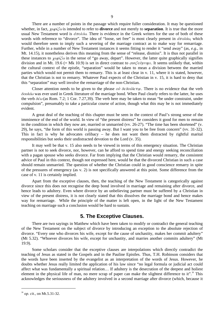There are a number of points in the passage which require fuller consideration. It may be questioned whether, in fact,  $\chi \omega \rho i \zeta \omega$  is intended to refer to **divorce** and not merely to **separation**. It is true that the more usual New Testament word is  $d\pi o\lambda i\omega$ . There is evidence in the Greek writers for the use of both of these words with reference to "divorce". The idea of "loose, set free" is most clearly present in  $d\pi o\lambda w$ , which would therefore seem to imply such a severing of the marriage contract as to make way for remarriage. Further, while in a number of New Testament instances it seems fitting to render it "send away" (as, *e.g*., in Mt. 14.15), it nonetheless derives this meaning from the sense of "release, dismiss". It is thus not parallel in these instances to  $\chi \omega \rho \alpha' \zeta \omega$  in the sense of "go away, depart". However, the latter quite graphically signifies division and in Mt. 19.6 (= Mk 10.9) is set in direct contrast to  $\sigma \nu \nu \xi \epsilon \nu \gamma \nu \nu \mu$ . It seems unlikely that, within the cultural context of the epistle, "separation" would be taken to mean a division between the married parties which would not permit them to remarry. This is at least clear in v. 11, where it is stated, however, that the Christian is not to remarry. Whatever Paul expects of the Christian in v. 15, it is hard to deny that this "separation" may well involve the remarriage of the non-Christian.

Closer attention needs to be given to the phrase  $o\dot{v}$   $\delta\epsilon\delta o\dot{v}$  active There is no evidence that the verb δουλόω was ever used in Greek literature of the marriage bond. When Paul clearly refers to the latter, he uses the verb  $\delta \epsilon \omega$  (as Rom. 7.2; 1 Cor. 7.27,39). The verb here may be taken to mean "be under constraint, under compulsion", presumably to take a particular course of action, though what this may be is not immediately evident.

A great deal of the teaching of this chapter must be seen in the context of Paul's strong sense of the imminence of the end of the world. In view of "the present distress" he considers it good for men to remain in the condition in which they now are, married or unmarried (vv. 26-27). "The time has been shortened" (v. 29), he says, "the form of this world is passing away. But I want you to be free from concern" (vv. 31-32). This in fact is why he advocates celibacy – he does not want them distracted by rightful marital responsibilities but seeks their undistracted devotion to the Lord (v. 35).

It may well be that v. 15 also needs to be viewed in terms of this emergency situation. The Christian partner is not to seek divorce, nor, however, can he afford to spend time and energy seeking reconciliation with a pagan spouse who seeks divorce. Far from implying that the Christian would remarry, the consistent advice of Paul in this context, though not expressed here, would be that the divorced Christian in such a case should remain unmarried. The question of whether the Christian could in good conscience remarry in spite of the pressures of emergency (as v. 2) is not specifically answered at this point. Some difference from the case of v. 11 is certainly implied.

Apart from the exceptive clauses, then, the teaching of the New Testament is categorically against divorce since this does not recognise the deep bond involved in marriage and remaining after divorce, and hence leads to adultery. Even where divorce by an unbelieving partner must be suffered by a Christian in view of the present distress, it is not clearly stated that this dissolves the marriage bond and hence makes way for remarriage. While the principle of the matter is left open, in the light of the New Testament teaching on marriage such a conclusion would be hard to sustain.

#### **5. The Exceptive Clauses.**

There are two sayings in Matthew which have been taken to modify or contradict the general teaching of the New Testament on the subject of divorce by introducing an exception to the absolute rejection of divorce. "Every one who divorces his wife, except for the cause of unchastity, makes her commit adultery" (Mt 5.32). "Whoever divorces his wife, except for unchastity, and marries another commits adultery" (Mt 19.9).

Some scholars consider that the exceptive clauses are interpolations which directly contradict the teaching of Jesus as stated in the Gospels and in the Pauline Epistles. Thus, T.H. Robinson considers that the words have been inserted by the evangelist as an interpretation of the words of Jesus. However, he doubts whether Jesus really limited the application of his law since "no legal formula or judicial act could affect what was fundamentally a spiritual relation… If adultery is the desecration of the deepest and holiest element in the physical life of man, no mere scrap of paper can make the slightest difference to it".<sup>30</sup> This acknowledges the seriousness of the adultery involved in a second marriage after divorce (which, because it

<sup>30</sup> *op. cit.*, on Mt.5.31-32.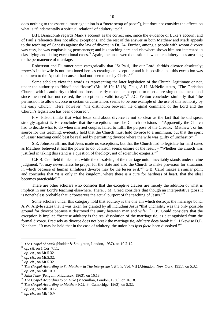does nothing to the essential marriage union is a "mere scrap of paper"), but does not consider the effects on what is "fundamentally a spiritual relation" of adultery itself.

B.H. Branscomb regards Mark's account as the correct one, since the evidence of Luke's account and of Paul's reference does not allow exceptions, and the rest of the answer in both Matthew and Mark appeals to the teaching of Genesis against the law of divorce in Dt. 24. Further, among a people with whom divorce was easy, he was emphasising permanence; and his teaching here and elsewhere shows him not interested in classifying and listing exceptional cases.<sup>31</sup> Again, the unanswered question is whether adultery does anything to the permanence of marriage.

Robertson and Plummer state categorically that "St Paul, like our Lord, forbids divorce absolutely;  $\pi \circ \rho \vee \epsilon \circ a$  in the wife is not mentioned here as creating an exception; and it is possible that this exception was unknown to the Apostle because it had not been made by Christ."<sup>32</sup>

Some scholars view the words as representing the later legislation of the Church, legitimate or not, under the authority to "bind" and "loose" (Mt. 16.19; 18.18). Thus, A.H. McNeile states, "The Christian Church, with its authority to bind and loose..., early made the exception to meet a pressing ethical need; and since the need has not ceased, the exception is valid today".<sup>33</sup> J.C. Fenton concludes similarly that "the permission to allow divorce in certain circumstances seems to be one example of the use of this authority by the early Church". Here, however, "the distinction between the original command of the Lord and the Church's legislation has been obscured".<sup>34</sup>

F.V. Filson thinks that what Jesus said about divorce is not so clear as the fact that he did speak strongly against it. He concludes that the exceptions must be Church decisions – "Apparently the Church had to decide what to do when married couples failed to fulfil the purpose of the Creator. 'Matthew', or his source for this teaching, evidently held that the Church must hold divorce to a minimum, but that the spirit of Jesus' teaching could best be realised by permitting divorce where the wife was guilty of unchastity".<sup>35</sup>

S.E. Johnson affirms that Jesus made no exceptions, but that the Church had to legislate for hard cases as Matthew believed it had the power to do. Johnson seems unsure of the result – "Whether the church was justified in taking this stand is a question of theology, not of scientific exegesis."<sup>36</sup>

C.E.B. Cranfield thinks that, while the dissolving of the marriage union inevitably stands under divine judgment, "it may nevertheless be proper for the state and also the Church to make provision for situations in which because of human sinfulness divorce may be the lesser evil."<sup>37</sup> G.B. Caird makes a similar point and concludes that "it is only in the kingdom, where there is a cure for hardness of heart, that the ideal becomes practicable".<sup>38</sup>

There are other scholars who consider that the exceptive clauses are merely the addition of what is implicit in our Lord's teaching elsewhere. There, J.M. Creed considers that though an interpretative gloss it is nonetheless probable that it "preserves the actual purport of the teaching of Jesus."<sup>39</sup>

Some scholars under this category hold that adultery is the one ain which destroys the marriage bond. A.W. Argyle states that it was taken for granted by all including Jesus "that unchastity was the only possible ground for divorce because it destroyed the unity between man and wife".<sup>40</sup> E.P. Gould considers that the exception is implied "because adultery is the real dissolution of the marriage tie, as distinguished from the formal divorce. Precisely as divorce does not break the marriage tie, adultery does break it."<sup>41</sup> Likewise D.E. Nineham, "It may be held that in the case of adultery, the union has *ipso facto* been dissolved."<sup>42</sup>

<sup>&</sup>lt;sup>31</sup> *The Gospel of Mark* (Hodder & Stoughton, London, 1937), on 10.2-12.

<sup>32</sup> *op. cit.* on 1 Cor. 7.11.

 $\frac{33}{9}$  *op. cit.*, on Mt.5.32.

 $^{34}$  *op. cit.*, on Mt.5.32.

<sup>&</sup>lt;sup>35</sup> *op. cit.*, on Mt.5.32.

<sup>&</sup>lt;sup>36</sup> The Gospel According to St. Matthew in The Interpreter's Bible, Vol. VII (Abingdon, New York, 1951), on 5.32.

<sup>37</sup> *op. cit.*, on Mk 10.9.

<sup>&</sup>lt;sup>38</sup> Saint Luke (Penguin, Middlesex, 1963), on 16.18.

<sup>&</sup>lt;sup>39</sup> *The Gospel According to St. Luke* (Macmillan, London, 1930), on 16.18.

<sup>&</sup>lt;sup>40</sup> The Gospel According to Matthew (C.U.P., Cambridge, 1963), on 5.32.

<sup>41</sup> *op. cit.*, on Mk 10.12.

<sup>42</sup> *op. cit.*, on Mk 10.9.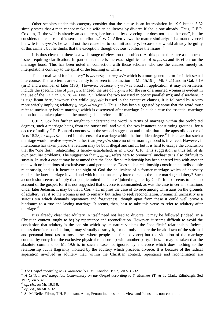Other scholars under this category consider that the clause is an interpolation in 19.9 but in 5.32 simply states that a man cannot make his wife an adulteress by divorce if she is one already. Thus, G.E.P. Cox has, "If the wife is already an adulteress, her husband by divorcing her does not make her one", but he considers the clause in this sense superfluous. <sup>43</sup> W.C. Allen views the matter similarly: "If a man divorced his wife for  $\pi o \rho \nu \epsilon / a$ , he would not then cause her to commit adultery, because she would already be guilty of this crime", but he thinks that the exception, though obvious, confuses the issues.<sup>44</sup>

It is thus clear that there is a wide range of views on this subject. At this point there are a number of issues requiring clarification. In particular, there is the exact significance of  $\pi \omega \omega$  and its effect on the marriage bond. This has been noted in connection with those scholars who see the clauses merely as interpolations contrary to the spirit of the teaching of Christ.

The normal word for "adultery" is  $\mu \omega_X \epsilon' \alpha$ , not  $\pi \omega_Y \epsilon' \alpha$  which is a more general term for illicit sexual intercourse. The two terms are evidently to be seen in distinction in Mt. 15.19 (= Mk 7.21) and in Gal. 5.19 (in D and a number of later MSS). However, because  $\pi \circ \rho \nu \in \alpha$  is broad in application, it may nevertheless include the specific case of  $\mu o \chi \epsilon/\alpha$ . Indeed, the use of  $\pi o \rho \nu \epsilon/\alpha$  for the sin of a married woman is evident in the use of the LXX in Gn. 38.24; Hos. 2.2 (where the two are used in poetic parallelism); and elsewhere. It is significant here, however, that while  $\pi \circ \rho \nu \in \{a\}$  is used in the exceptive clauses, it is followed by a verb more strictly implying adultery ( $\mu o \chi \epsilon \dot{\psi} \omega / \mu o \chi \dot{\alpha} \omega$ ). Thus, it has been suggested by some that the word must refer to unchastity before marriage which is discovered after marriage. In such a case the essential marriage union has not taken place and the marriage is therefore nullified.

C.E.P. Cox has further sought to understand the word in terms of marriage within the prohibited degrees, such a marriage being from the outset null and void, the two instances constituting grounds. for a decree of nullity.<sup>45</sup> P. Bonnard concurs with the second suggestion and thinks that in the apostolic decree of Acts 15.28,29  $\pi o\rho \nu \epsilon / a$  is used in this sense of a marriage within the forbidden degree.<sup>46</sup> It is clear that such a marriage would involve  $\pi \circ \rho \nu \in \{a\}$  rather than  $\mu \circ \nu \in \{a\}$ , since no other marriage bond is involved. However, if intercourse has taken place, the relation may be both illegal and sinful, but it is hard to escape the conclusion that the "one flesh" relationship is hereby established, as in 1 Cor. 6.16. This suggestion is thus full of its own peculiar problems. The suggestion that  $\pi \circ \rho \nu \in (a \text{ refers here to premarital unchastity is also difficult to})$ sustain. In such a case it may be assumed that the "one flesh" relationship has been entered into with another man with no intentions of exclusiveness and permanence. Does such a relationship constitute an indissoluble relationship, and is it hence in the sight of God the equivalent of a former marriage which of necessity renders the later marriage invalid and which must make any intercourse in the later marriage adultery? Such a conclusion seems to imply that people united in sin are "joined together by God". It also seems to take no account of the gospel, for it is not suggested that divorce is commanded, as was the case in certain situations under later Judaism. It may be that 1 Cor. 7.11 implies the case of divorce among Christians on the grounds of adultery, yet if so the woman is not to remarry but rather to seek reconciliation. Premarital unchastity is a serious sin which demands repentance and forgiveness, though apart from these it could well prove a hindrance to a true and lasting marriage. It seems, then, best to take this verse to refer to adultery after marriage.<sup>47</sup>

It is already clear that adultery in itself need not lead to divorce. It may be followed (indeed, in a Christian context, ought to be) by repentance and reconciliation. However, it seems difficult to avoid the conclusion that adultery is the one sin which by its nature violates the "one flesh" relationship. Indeed, unless there is reconciliation, it may virtually destroy it, for not only is there the break-down of the spiritual and personal bond (as in most cases where people sue for a divorce) but the violation of the marriage contract by entry into the exclusive physical relationship with another party. Thus, it may be taken that the absolute command of Mt 19.6 is in such a case not ignored by a divorce which does nothing to the relationship but is flagrantly violated by the adultery which precedes divorce. It is because of the radical separation involved in adultery that, within the Christian context, repentance and reconciliation are

<sup>43</sup> *The Gospel according to St. Matthew* (S.C.M., London, 1952), on 5.31-32.

<sup>44</sup> *A Critical and Exegetical Commentary on the Gospel according to S. Matthew* (T. & T. Clark, Edinburgh, 3ed 1912), on 5.32.

<sup>45</sup> *op. cit.*, on Mt. 19.3-9.

<sup>46</sup> *op. cit.,* on Mt. 5.32.

<sup>&</sup>lt;sup>47</sup> So McNeile, Filson, T.H. Robinson, Allen, Fenton inclines to this view, and Johnson is non-committal.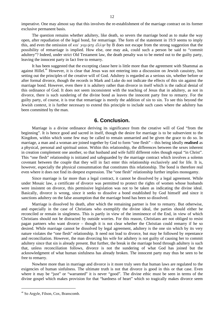imperative. One may almost say that this involves the re-establishment of the marriage contract on its former exclusive permanent basis.

The question remains whether adultery, like death, so severs the marriage bond as to make the way open, after repudiation of the legal bond, for remarriage. The form of the statement in 19.9 seems to imply this, and even the omission of  $\kappa a\ell \gamma a\mu \eta \sigma \eta \ d\lambda \lambda \eta \nu$  by B does not escape from the strong suggestion that the possibility of remarriage is implied. How else, one may ask, could such a person be said to "commit adultery"? Indeed, under strict Old Testament law, the death penalty was to be meted out to the guilty party, leaving the innocent party in fact free to remarry.

It has been suggested that the excepting clause here is little more than the agreement with Shammai as against Hillel.<sup>48</sup> However, it is clear that Jesus was not entering into a discussion on Jewish casuistry, but setting out the principles of the creative will of God. Adultery is regarded as a serious sin, whether before or after formal divorce, though the records in Mark and Luke do not indicate the effects of this sin against the marriage bond. However, even there it is adultery rather than divorce in itself which is the radical denial of this ordinance of God. It does not seem inconsistent with the teaching of Jesus that in adultery, as not in divorce, there is such sundering of the divine bond as leaves the innocent party free to remarry. For the guilty party, of course, it is true that remarriage is merely the addition of sin to sin. To see this beyond the Jewish context, it is further necessary to extend this principle to include such cases where the adultery has been committed by the man.

#### **6. Conclusion.**

Marriage is a divine ordinance deriving its significance from the creative will of God "from the beginning". It is hence good and sacred in itself, though the desire for marriage is to be subservient to the Kingdom, within which some few may be called to remain unmarried and be given the grace to do so. In marriage, a man and a woman are joined together by God to form "one flesh" – this being ideally **realised** as a physical, personal and spiritual union. Within this relationship, the differences between the sexes inherent in creation complement one another, so that husband and wife fulfil different roles though equal "in Christ". This "one flesh" relationship is initiated and safeguarded by the marriage contract which involves a solemn covenant between the couple that they will in fact enter this relationship exclusively and for life. It is, however, especially the physical consummation that constitutes this relationship. The bond is therefore real even where it does not find its deepest expression. The "one flesh" relationship further implies monogamy.

Since marriage is far more than a legal contract, it cannot be dissolved by a legal agreement. While under Mosaic law, a certificate of divorce was permitted to protect the rights of women whose husbands were insistent on divorce, this permissive legislation was not to be taken as indicating the divine ideal. Basically, divorce is wrong, since it seeks to dissolve a bond established by God himself and since it sanctions adultery on the false assumption that the marriage bond has been so dissolved.

Marriage is dissolved by death, after which the remaining partner is free to remarry. But otherwise, and especially in the case of Christians who exemplify the divine ideal, the parties should either be reconciled or remain in singleness. This is partly in view of the imminence of the End, in view of which Christians should not be distracted by outside worries. For this reason, Christians are not obliged to resist pagan partners who want divorce – though it is not clear whether the Christian could remarry if he so desired. While marriage cannot be dissolved by legal agreement, adultery is the one sin which by its very nature violates the "one flesh" relationship. It need not lead to divorce, but may be followed by repentance and reconciliation. However, the man divorcing his wife for adultery is not guilty of causing her to commit adultery since that sin is already present. But further, the break in the marriage bond through adultery is such that, unless reconciliation follows, divorce is not the sundering of what God has joined but the acknowledgment of what human sinfulness has already broken. The innocent party may thus be seen to be free to remarry.

Nowhere more than in marriage and divorce is it more truly seen that human laws are regulated to the exigencies of human sinfulness. The ultimate truth is not that divorce is good in this or that case. Even where it may be "just" or "warranted" it is never "good". The divine ethic must be seen in terms of the divine gospel which makes provision for that "hardness of heart" which so tragically makes divorce seem

<sup>48</sup> So Argyle, Filson, Cox, Branscomb.